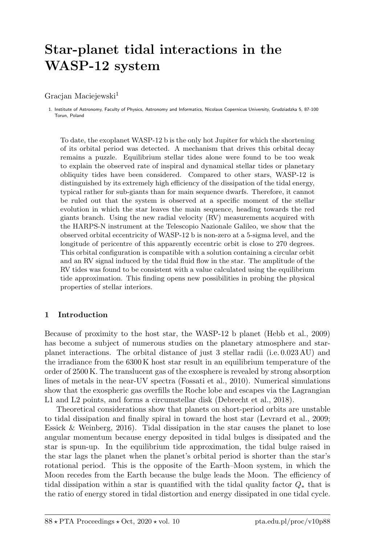# Star-planet tidal interactions in the WASP-12 system

Gracjan Maciejewski<sup>1</sup>

1. Institute of Astronomy, Faculty of Physics, Astronomy and Informatics, Nicolaus Copernicus University, Grudziadzka 5, 87-100 Torun, Poland

To date, the exoplanet WASP-12 b is the only hot Jupiter for which the shortening of its orbital period was detected. A mechanism that drives this orbital decay remains a puzzle. Equilibrium stellar tides alone were found to be too weak to explain the observed rate of inspiral and dynamical stellar tides or planetary obliquity tides have been considered. Compared to other stars, WASP-12 is distinguished by its extremely high efficiency of the dissipation of the tidal energy, typical rather for sub-giants than for main sequence dwarfs. Therefore, it cannot be ruled out that the system is observed at a specific moment of the stellar evolution in which the star leaves the main sequence, heading towards the red giants branch. Using the new radial velocity (RV) measurements acquired with the HARPS-N instrument at the Telescopio Nazionale Galileo, we show that the observed orbital eccentricity of WASP-12 b is non-zero at a 5-sigma level, and the longitude of pericentre of this apparently eccentric orbit is close to 270 degrees. This orbital configuration is compatible with a solution containing a circular orbit and an RV signal induced by the tidal fluid flow in the star. The amplitude of the RV tides was found to be consistent with a value calculated using the equilibrium tide approximation. This finding opens new possibilities in probing the physical properties of stellar interiors.

### 1 Introduction

Because of proximity to the host star, the WASP-12 b planet (Hebb et al., 2009) has become a subject of numerous studies on the planetary atmosphere and starplanet interactions. The orbital distance of just 3 stellar radii (i.e. 0.023 AU) and the irradiance from the 6300 K host star result in an equilibrium temperature of the order of 2500 K. The translucent gas of the exosphere is revealed by strong absorption lines of metals in the near-UV spectra (Fossati et al., 2010). Numerical simulations show that the exospheric gas overfills the Roche lobe and escapes via the Lagrangian L1 and L2 points, and forms a circumstellar disk (Debrecht et al., 2018).

Theoretical considerations show that planets on short-period orbits are unstable to tidal dissipation and finally spiral in toward the host star (Levrard et al., 2009; Essick  $&$  Weinberg, 2016). Tidal dissipation in the star causes the planet to lose angular momentum because energy deposited in tidal bulges is dissipated and the star is spun-up. In the equilibrium tide approximation, the tidal bulge raised in the star lags the planet when the planet's orbital period is shorter than the star's rotational period. This is the opposite of the Earth–Moon system, in which the Moon recedes from the Earth because the bulge leads the Moon. The efficiency of tidal dissipation within a star is quantified with the tidal quality factor  $Q_*$  that is the ratio of energy stored in tidal distortion and energy dissipated in one tidal cycle.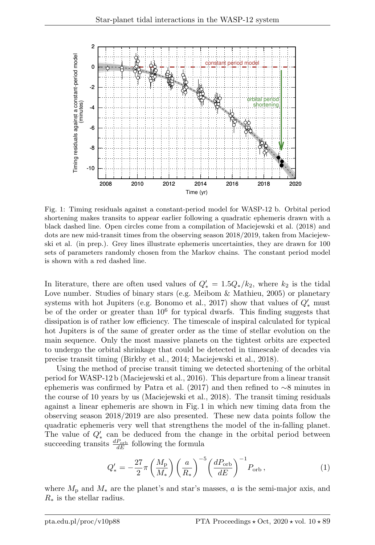

Fig. 1: Timing residuals against a constant-period model for WASP-12 b. Orbital period shortening makes transits to appear earlier following a quadratic ephemeris drawn with a black dashed line. Open circles come from a compilation of Maciejewski et al. (2018) and dots are new mid-transit times from the observing season 2018/2019, taken from Maciejewski et al. (in prep.). Grey lines illustrate ephemeris uncertainties, they are drawn for 100 sets of parameters randomly chosen from the Markov chains. The constant period model is shown with a red dashed line.

In literature, there are often used values of  $Q'_{*} = 1.5Q_{*}/k_2$ , where  $k_2$  is the tidal Love number. Studies of binary stars (e.g. Meibom & Mathieu, 2005) or planetary systems with hot Jupiters (e.g. Bonomo et al., 2017) show that values of  $Q'_{*}$  must be of the order or greater than  $10^6$  for typical dwarfs. This finding suggests that dissipation is of rather low efficiency. The timescale of inspiral calculated for typical hot Jupiters is of the same of greater order as the time of stellar evolution on the main sequence. Only the most massive planets on the tightest orbits are expected to undergo the orbital shrinkage that could be detected in timescale of decades via precise transit timing (Birkby et al., 2014; Maciejewski et al., 2018).

Using the method of precise transit timing we detected shortening of the orbital period for WASP-12 b (Maciejewski et al., 2016). This departure from a linear transit ephemeris was confirmed by Patra et al. (2017) and then refined to ∼8 minutes in the course of 10 years by us (Maciejewski et al., 2018). The transit timing residuals against a linear ephemeris are shown in Fig. 1 in which new timing data from the observing season 2018/2019 are also presented. These new data points follow the quadratic ephemeris very well that strengthens the model of the in-falling planet. The value of  $Q'_{*}$  can be deduced from the change in the orbital period between succeeding transits  $\frac{dP_{\text{orb}}}{dE}$  following the formula

$$
Q'_{*} = -\frac{27}{2}\pi \left(\frac{M_{\rm p}}{M_{*}}\right) \left(\frac{a}{R_{*}}\right)^{-5} \left(\frac{dP_{\rm orb}}{dE}\right)^{-1} P_{\rm orb} ,\qquad (1)
$$

where  $M_{\rm p}$  and  $M_*$  are the planet's and star's masses, a is the semi-major axis, and  $R_*$  is the stellar radius.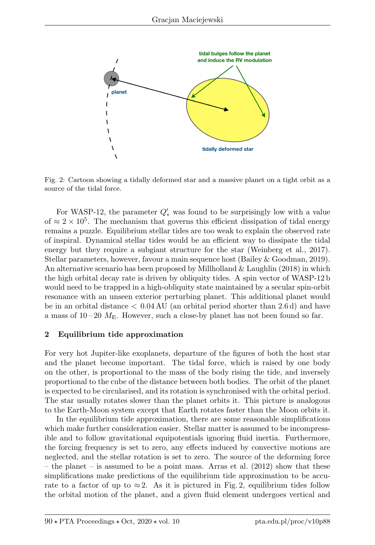

Fig. 2: Cartoon showing a tidally deformed star and a massive planet on a tight orbit as a source of the tidal force.

For WASP-12, the parameter  $Q'_{*}$  was found to be surprisingly low with a value of  $\approx 2 \times 10^5$ . The mechanism that governs this efficient dissipation of tidal energy remains a puzzle. Equilibrium stellar tides are too weak to explain the observed rate of inspiral. Dynamical stellar tides would be an efficient way to dissipate the tidal energy but they require a subgiant structure for the star (Weinberg et al., 2017). Stellar parameters, however, favour a main sequence host (Bailey & Goodman, 2019). An alternative scenario has been proposed by Millholland  $&$  Laughlin (2018) in which the high orbital decay rate is driven by obliquity tides. A spin vector of WASP-12 b would need to be trapped in a high-obliquity state maintained by a secular spin-orbit resonance with an unseen exterior perturbing planet. This additional planet would be in an orbital distance < 0.04 AU (an orbital period shorter than 2.6 d) and have a mass of  $10-20$   $M<sub>E</sub>$ . However, such a close-by planet has not been found so far.

#### 2 Equilibrium tide approximation

For very hot Jupiter-like exoplanets, departure of the figures of both the host star and the planet become important. The tidal force, which is raised by one body on the other, is proportional to the mass of the body rising the tide, and inversely proportional to the cube of the distance between both bodies. The orbit of the planet is expected to be circularised, and its rotation is synchronised with the orbital period. The star usually rotates slower than the planet orbits it. This picture is analogous to the Earth-Moon system except that Earth rotates faster than the Moon orbits it.

In the equilibrium tide approximation, there are some reasonable simplifications which make further consideration easier. Stellar matter is assumed to be incompressible and to follow gravitational equipotentials ignoring fluid inertia. Furthermore, the forcing frequency is set to zero, any effects induced by convective motions are neglected, and the stellar rotation is set to zero. The source of the deforming force – the planet – is assumed to be a point mass. Arras et al. (2012) show that these simplifications make predictions of the equilibrium tide approximation to be accurate to a factor of up to  $\approx 2$ . As it is pictured in Fig. 2, equilibrium tides follow the orbital motion of the planet, and a given fluid element undergoes vertical and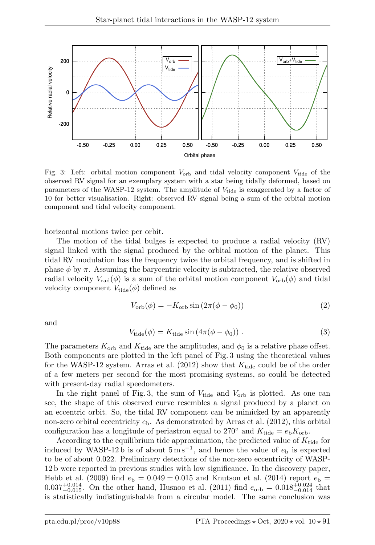

Fig. 3: Left: orbital motion component  $V_{\text{orb}}$  and tidal velocity component  $V_{\text{tide}}$  of the observed RV signal for an exemplary system with a star being tidally deformed, based on parameters of the WASP-12 system. The amplitude of  $V_{\text{tide}}$  is exaggerated by a factor of 10 for better visualisation. Right: observed RV signal being a sum of the orbital motion component and tidal velocity component.

horizontal motions twice per orbit.

The motion of the tidal bulges is expected to produce a radial velocity (RV) signal linked with the signal produced by the orbital motion of the planet. This tidal RV modulation has the frequency twice the orbital frequency, and is shifted in phase  $\phi$  by  $\pi$ . Assuming the barycentric velocity is subtracted, the relative observed radial velocity  $V_{\rm rad}(\phi)$  is a sum of the orbital motion component  $V_{\rm orb}(\phi)$  and tidal velocity component  $V_{\text{tide}}(\phi)$  defined as

$$
V_{\rm orb}(\phi) = -K_{\rm orb} \sin(2\pi(\phi - \phi_0))\tag{2}
$$

and

$$
V_{\text{tide}}(\phi) = K_{\text{tide}} \sin\left(4\pi(\phi - \phi_0)\right) \,. \tag{3}
$$

The parameters  $K_{\text{orb}}$  and  $K_{\text{tide}}$  are the amplitudes, and  $\phi_0$  is a relative phase offset. Both components are plotted in the left panel of Fig. 3 using the theoretical values for the WASP-12 system. Arras et al. (2012) show that  $K_{\text{tide}}$  could be of the order of a few meters per second for the most promising systems, so could be detected with present-day radial speedometers.

In the right panel of Fig. 3, the sum of  $V_{\text{tide}}$  and  $V_{\text{orb}}$  is plotted. As one can see, the shape of this observed curve resembles a signal produced by a planet on an eccentric orbit. So, the tidal RV component can be mimicked by an apparently non-zero orbital eccentricity  $e<sub>b</sub>$ . As demonstrated by Arras et al. (2012), this orbital configuration has a longitude of periastron equal to 270° and  $K_{\text{tide}} = e_{\text{b}} K_{\text{orb}}$ .

According to the equilibrium tide approximation, the predicted value of  $K_{\text{tide}}$  for induced by WASP-12b is of about  $5 \text{ m s}^{-1}$ , and hence the value of  $e_{\text{b}}$  is expected to be of about 0.022. Preliminary detections of the non-zero eccentricity of WASP-12 b were reported in previous studies with low significance. In the discovery paper, Hebb et al. (2009) find  $e<sub>b</sub> = 0.049 \pm 0.015$  and Knutson et al. (2014) report  $e<sub>b</sub> =$  $0.037^{+0.014}_{-0.015}$ . On the other hand, Husnoo et al. (2011) find  $e_{\rm orb} = 0.018^{+0.024}_{-0.014}$  that is statistically indistinguishable from a circular model. The same conclusion was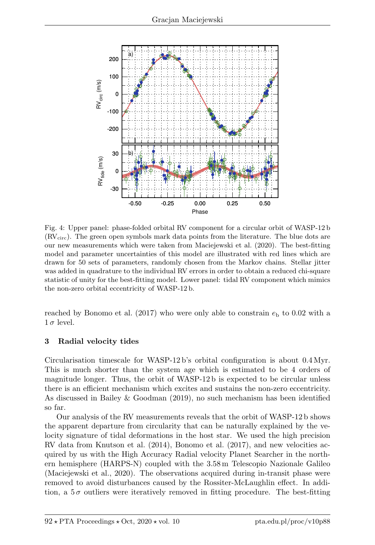

Fig. 4: Upper panel: phase-folded orbital RV component for a circular orbit of WASP-12 b  $(RV_{circ})$ . The green open symbols mark data points from the literature. The blue dots are our new measurements which were taken from Maciejewski et al. (2020). The best-fitting model and parameter uncertainties of this model are illustrated with red lines which are drawn for 50 sets of parameters, randomly chosen from the Markov chains. Stellar jitter was added in quadrature to the individual RV errors in order to obtain a reduced chi-square statistic of unity for the best-fitting model. Lower panel: tidal RV component which mimics the non-zero orbital eccentricity of WASP-12 b.

reached by Bonomo et al. (2017) who were only able to constrain  $e<sub>b</sub>$  to 0.02 with a  $1 \sigma$  level.

### 3 Radial velocity tides

Circularisation timescale for WASP-12 b's orbital configuration is about 0.4 Myr. This is much shorter than the system age which is estimated to be 4 orders of magnitude longer. Thus, the orbit of WASP-12 b is expected to be circular unless there is an efficient mechanism which excites and sustains the non-zero eccentricity. As discussed in Bailey & Goodman (2019), no such mechanism has been identified so far.

Our analysis of the RV measurements reveals that the orbit of WASP-12 b shows the apparent departure from circularity that can be naturally explained by the velocity signature of tidal deformations in the host star. We used the high precision RV data from Knutson et al. (2014), Bonomo et al. (2017), and new velocities acquired by us with the High Accuracy Radial velocity Planet Searcher in the northern hemisphere (HARPS-N) coupled with the 3.58 m Telescopio Nazionale Galileo (Maciejewski et al., 2020). The observations acquired during in-transit phase were removed to avoid disturbances caused by the Rossiter-McLaughlin effect. In addition, a  $5\sigma$  outliers were iteratively removed in fitting procedure. The best-fitting